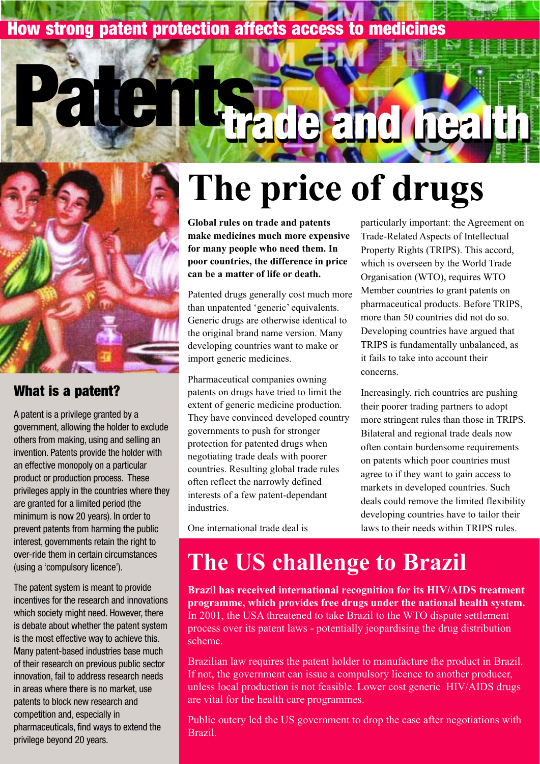### **How strong patent protection affects access to medicines**



**Patents**

#### **What is a patent?**

A patent is a privilege granted by a government, allowing the holder to exclude others from making, using and selling an invention. Patents provide the holder with an effective monopoly on a particular product or production process. These privileges apply in the countries where they are granted for a limited period (the minimum is now 20 years). In order to prevent patents from harming the public interest, governments retain the right to over-ride them in certain circumstances (using a 'compulsory licence').

The patent system is meant to provide incentives for the research and innovations which society might need. However, there is debate about whether the patent system is the most effective way to achieve this. Many patent-based industries base much of their research on previous public sector innovation, fail to address research needs in areas where there is no market, use patents to block new research and competition and, especially in pharmaceuticals, find ways to extend the privilege beyond 20 years.

# **The price of drugs**

**trade and health trade and health**

**Global rules on trade and patents make medicines much more expensive for many people who need them. In poor countries, the difference in price can be a matter of life or death.**

Patented drugs generally cost much more than unpatented 'generic' equivalents. Generic drugs are otherwise identical to the original brand name version. Many developing countries want to make or import generic medicines.

Pharmaceutical companies owning patents on drugs have tried to limit the extent of generic medicine production. They have convinced developed country governments to push for stronger protection for patented drugs when negotiating trade deals with poorer countries. Resulting global trade rules often reflect the narrowly defined interests of a few patent-dependant industries.

One international trade deal is

particularly important: the Agreement on Trade-Related Aspects of Intellectual Property Rights (TRIPS). This accord, which is overseen by the World Trade Organisation (WTO), requires WTO Member countries to grant patents on pharmaceutical products. Before TRIPS, more than 50 countries did not do so. Developing countries have argued that TRIPS is fundamentally unbalanced, as it fails to take into account their concerns.

Increasingly, rich countries are pushing their poorer trading partners to adopt more stringent rules than those in TRIPS. Bilateral and regional trade deals now often contain burdensome requirements on patents which poor countries must agree to if they want to gain access to markets in developed countries. Such deals could remove the limited flexibility developing countries have to tailor their laws to their needs within TRIPS rules.

## **The US challenge to Brazil**

**Brazil has received international recognition for its HIV/AIDS treatment programme, which provides free drugs under the national health system.** In 2001, the USA threatened to take Brazil to the WTO dispute settlement process over its patent laws - potentially jeopardising the drug distribution scheme.

Brazilian law requires the patent holder to manufacture the product in Brazil. If not, the government can issue a compulsory licence to another producer, unless local production is not feasible. Lower cost generic HIV/AIDS drugs are vital for the health care programmes.

Public outcry led the US government to drop the case after negotiations with Brazil.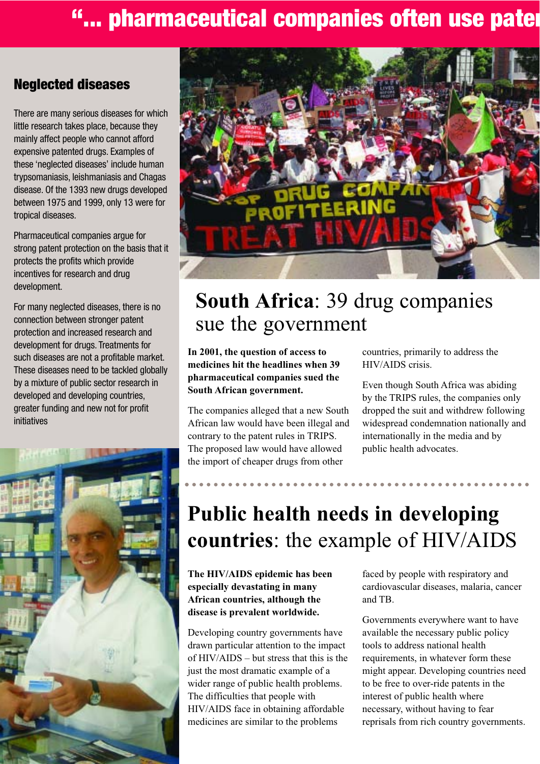### **"... pharmaceutical companies often use pater**

#### **Neglected diseases**

There are many serious diseases for which little research takes place, because they mainly affect people who cannot afford expensive patented drugs. Examples of these 'neglected diseases' include human trypsomaniasis, leishmaniasis and Chagas disease. Of the 1393 new drugs developed between 1975 and 1999, only 13 were for tropical diseases.

Pharmaceutical companies argue for strong patent protection on the basis that it protects the profits which provide incentives for research and drug development.

For many neglected diseases, there is no connection between stronger patent protection and increased research and development for drugs. Treatments for such diseases are not a profitable market. These diseases need to be tackled globally by a mixture of public sector research in developed and developing countries, greater funding and new not for profit initiatives





### **South Africa**: 39 drug companies sue the government

**In 2001, the question of access to medicines hit the headlines when 39 pharmaceutical companies sued the South African government.**

The companies alleged that a new South African law would have been illegal and contrary to the patent rules in TRIPS. The proposed law would have allowed the import of cheaper drugs from other

countries, primarily to address the HIV/AIDS crisis.

Even though South Africa was abiding by the TRIPS rules, the companies only dropped the suit and withdrew following widespread condemnation nationally and internationally in the media and by public health advocates.

### **Public health needs in developing countries**: the example of HIV/AIDS

**The HIV/AIDS epidemic has been especially devastating in many African countries, although the disease is prevalent worldwide.**

Developing country governments have drawn particular attention to the impact of HIV/AIDS – but stress that this is the just the most dramatic example of a wider range of public health problems. The difficulties that people with HIV/AIDS face in obtaining affordable medicines are similar to the problems

faced by people with respiratory and cardiovascular diseases, malaria, cancer and TB.

Governments everywhere want to have available the necessary public policy tools to address national health requirements, in whatever form these might appear. Developing countries need to be free to over-ride patents in the interest of public health where necessary, without having to fear reprisals from rich country governments.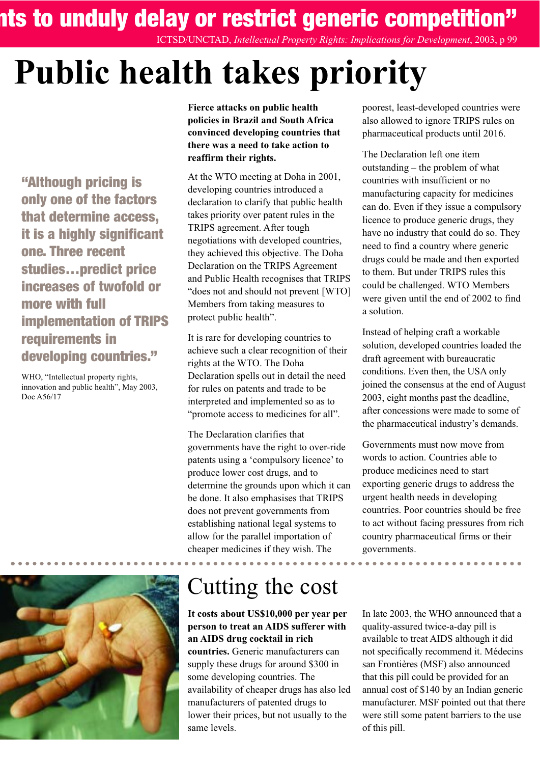**ents to unduly delay or restrict generic competition"**

ICTSD/UNCTAD, *Intellectual Property Rights: Implications for Development*, 2003, p 99

# **Public health takes priority**

**"Although pricing is only one of the factors that determine access, it is a highly significant one. Three recent studies…predict price increases of twofold or more with full implementation of TRIPS requirements in developing countries."**

WHO, "Intellectual property rights, innovation and public health", May 2003, Doc A56/17



**Fierce attacks on public health policies in Brazil and South Africa convinced developing countries that there was a need to take action to reaffirm their rights.**

At the WTO meeting at Doha in 2001, developing countries introduced a declaration to clarify that public health takes priority over patent rules in the TRIPS agreement. After tough negotiations with developed countries, they achieved this objective. The Doha Declaration on the TRIPS Agreement and Public Health recognises that TRIPS "does not and should not prevent [WTO] Members from taking measures to protect public health".

It is rare for developing countries to achieve such a clear recognition of their rights at the WTO. The Doha Declaration spells out in detail the need for rules on patents and trade to be interpreted and implemented so as to "promote access to medicines for all".

The Declaration clarifies that governments have the right to over-ride patents using a 'compulsory licence' to produce lower cost drugs, and to determine the grounds upon which it can be done. It also emphasises that TRIPS does not prevent governments from establishing national legal systems to allow for the parallel importation of cheaper medicines if they wish. The

### Cutting the cost

#### **It costs about US\$10,000 per year per person to treat an AIDS sufferer with an AIDS drug cocktail in rich**

**countries.** Generic manufacturers can supply these drugs for around \$300 in some developing countries. The availability of cheaper drugs has also led manufacturers of patented drugs to lower their prices, but not usually to the same levels.

poorest, least-developed countries were also allowed to ignore TRIPS rules on pharmaceutical products until 2016.

The Declaration left one item outstanding – the problem of what countries with insufficient or no manufacturing capacity for medicines can do. Even if they issue a compulsory licence to produce generic drugs, they have no industry that could do so. They need to find a country where generic drugs could be made and then exported to them. But under TRIPS rules this could be challenged. WTO Members were given until the end of 2002 to find a solution.

Instead of helping craft a workable solution, developed countries loaded the draft agreement with bureaucratic conditions. Even then, the USA only joined the consensus at the end of August 2003, eight months past the deadline, after concessions were made to some of the pharmaceutical industry's demands.

Governments must now move from words to action. Countries able to produce medicines need to start exporting generic drugs to address the urgent health needs in developing countries. Poor countries should be free to act without facing pressures from rich country pharmaceutical firms or their governments.

In late 2003, the WHO announced that a quality-assured twice-a-day pill is available to treat AIDS although it did not specifically recommend it. Médecins san Frontières (MSF) also announced that this pill could be provided for an annual cost of \$140 by an Indian generic manufacturer. MSF pointed out that there were still some patent barriers to the use of this pill.